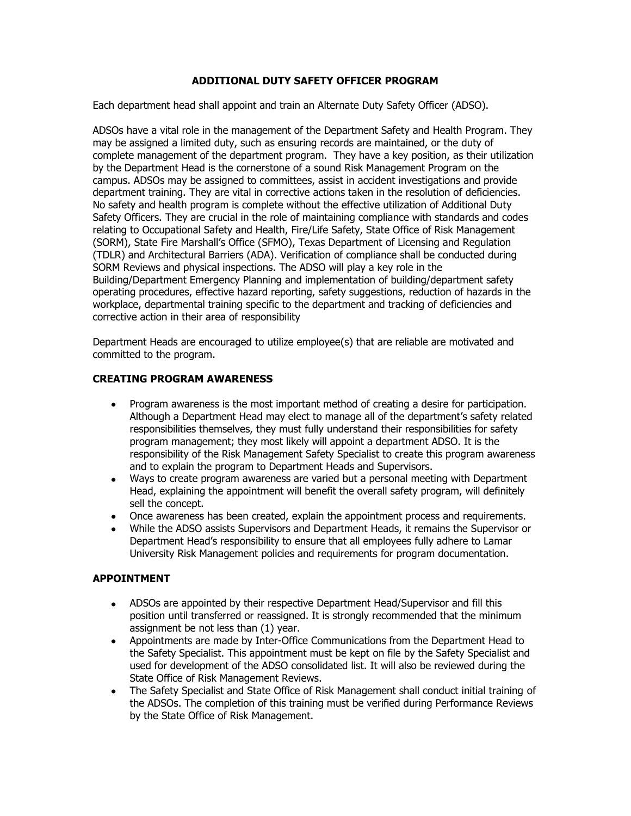### **ADDITIONAL DUTY SAFETY OFFICER PROGRAM**

Each department head shall appoint and train an Alternate Duty Safety Officer (ADSO).

ADSOs have a vital role in the management of the Department Safety and Health Program. They may be assigned a limited duty, such as ensuring records are maintained, or the duty of complete management of the department program. They have a key position, as their utilization by the Department Head is the cornerstone of a sound Risk Management Program on the campus. ADSOs may be assigned to committees, assist in accident investigations and provide department training. They are vital in corrective actions taken in the resolution of deficiencies. No safety and health program is complete without the effective utilization of Additional Duty Safety Officers. They are crucial in the role of maintaining compliance with standards and codes relating to Occupational Safety and Health, Fire/Life Safety, State Office of Risk Management (SORM), State Fire Marshall's Office (SFMO), Texas Department of Licensing and Regulation (TDLR) and Architectural Barriers (ADA). Verification of compliance shall be conducted during SORM Reviews and physical inspections. The ADSO will play a key role in the Building/Department Emergency Planning and implementation of building/department safety operating procedures, effective hazard reporting, safety suggestions, reduction of hazards in the workplace, departmental training specific to the department and tracking of deficiencies and corrective action in their area of responsibility

Department Heads are encouraged to utilize employee(s) that are reliable are motivated and committed to the program.

### **CREATING PROGRAM AWARENESS**

- Program awareness is the most important method of creating a desire for participation. Although a Department Head may elect to manage all of the department's safety related responsibilities themselves, they must fully understand their responsibilities for safety program management; they most likely will appoint a department ADSO. It is the responsibility of the Risk Management Safety Specialist to create this program awareness and to explain the program to Department Heads and Supervisors.
- Ways to create program awareness are varied but a personal meeting with Department Head, explaining the appointment will benefit the overall safety program, will definitely sell the concept.
- Once awareness has been created, explain the appointment process and requirements.
- While the ADSO assists Supervisors and Department Heads, it remains the Supervisor or Department Head's responsibility to ensure that all employees fully adhere to Lamar University Risk Management policies and requirements for program documentation.

### **APPOINTMENT**

- ADSOs are appointed by their respective Department Head/Supervisor and fill this position until transferred or reassigned. It is strongly recommended that the minimum assignment be not less than (1) year.
- Appointments are made by Inter-Office Communications from the Department Head to the Safety Specialist. This appointment must be kept on file by the Safety Specialist and used for development of the ADSO consolidated list. It will also be reviewed during the State Office of Risk Management Reviews.
- The Safety Specialist and State Office of Risk Management shall conduct initial training of the ADSOs. The completion of this training must be verified during Performance Reviews by the State Office of Risk Management.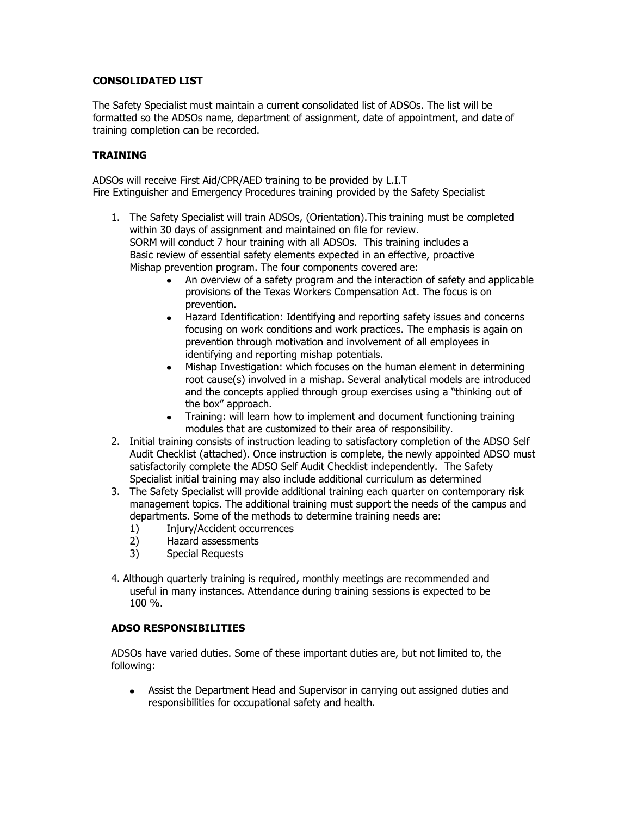### **CONSOLIDATED LIST**

The Safety Specialist must maintain a current consolidated list of ADSOs. The list will be formatted so the ADSOs name, department of assignment, date of appointment, and date of training completion can be recorded.

# **TRAINING**

ADSOs will receive First Aid/CPR/AED training to be provided by L.I.T Fire Extinguisher and Emergency Procedures training provided by the Safety Specialist

- 1. The Safety Specialist will train ADSOs, (Orientation).This training must be completed within 30 days of assignment and maintained on file for review. SORM will conduct 7 hour training with all ADSOs. This training includes a Basic review of essential safety elements expected in an effective, proactive Mishap prevention program. The four components covered are:
	- An overview of a safety program and the interaction of safety and applicable provisions of the Texas Workers Compensation Act. The focus is on prevention.
	- Hazard Identification: Identifying and reporting safety issues and concerns focusing on work conditions and work practices. The emphasis is again on prevention through motivation and involvement of all employees in identifying and reporting mishap potentials.
	- Mishap Investigation: which focuses on the human element in determining root cause(s) involved in a mishap. Several analytical models are introduced and the concepts applied through group exercises using a "thinking out of the box" approach.
	- Training: will learn how to implement and document functioning training modules that are customized to their area of responsibility.
- 2. Initial training consists of instruction leading to satisfactory completion of the ADSO Self Audit Checklist (attached). Once instruction is complete, the newly appointed ADSO must satisfactorily complete the ADSO Self Audit Checklist independently. The Safety Specialist initial training may also include additional curriculum as determined
- 3. The Safety Specialist will provide additional training each quarter on contemporary risk management topics. The additional training must support the needs of the campus and departments. Some of the methods to determine training needs are:
	- 1) Injury/Accident occurrences
	- 2) Hazard assessments
	- 3) Special Requests
- 4. Although quarterly training is required, monthly meetings are recommended and useful in many instances. Attendance during training sessions is expected to be 100 %.

### **ADSO RESPONSIBILITIES**

ADSOs have varied duties. Some of these important duties are, but not limited to, the following:

Assist the Department Head and Supervisor in carrying out assigned duties and responsibilities for occupational safety and health.